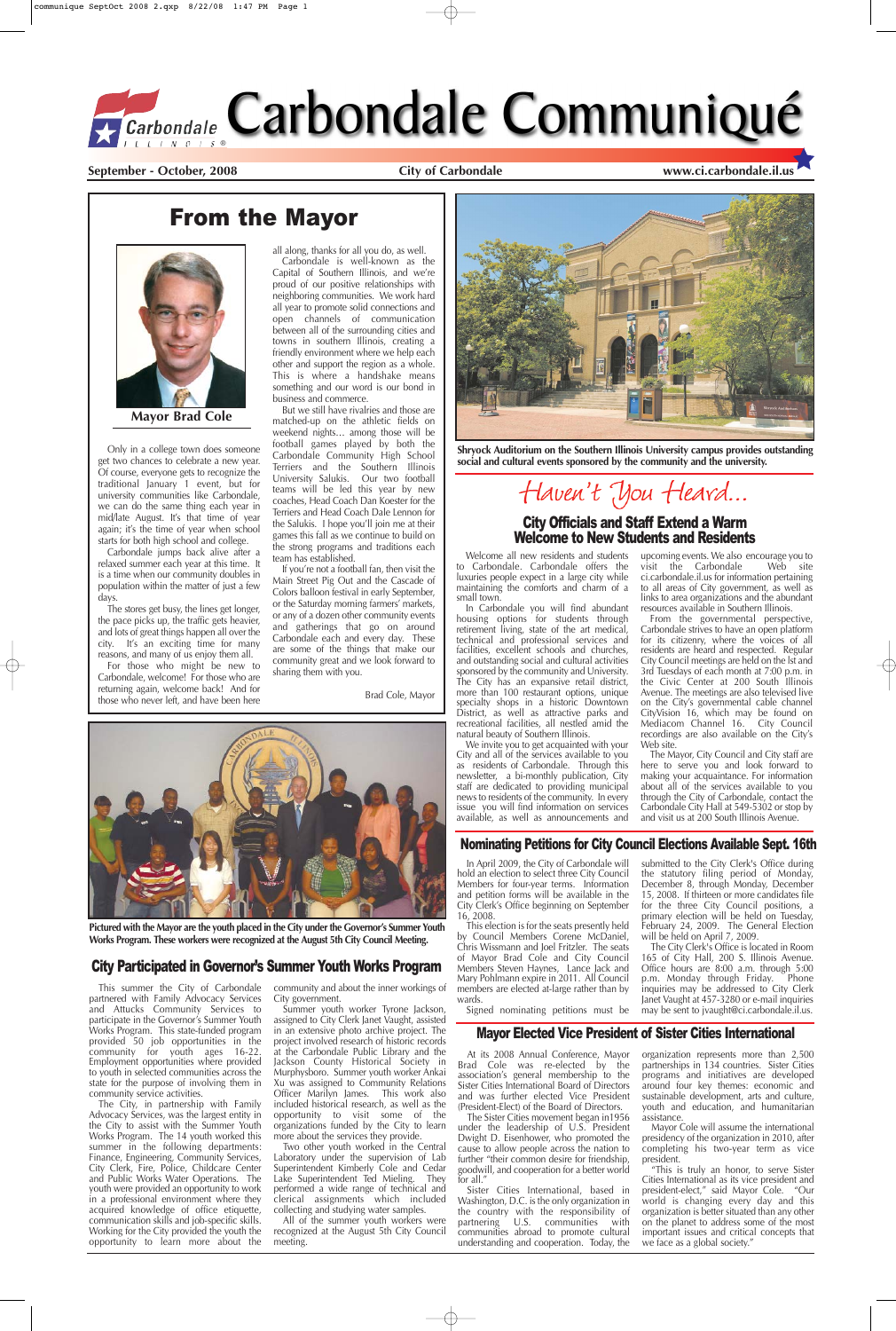**September - October, 2008 City of Carbondale www.ci.carbondale.il.us**

### From the Mayor



Only in a college town does someone get two chances to celebrate a new year. Of course, everyone gets to recognize the traditional January 1 event, but for university communities like Carbondale, we can do the same thing each year in mid/late August. It's that time of year again; it's the time of year when school starts for both high school and college.

Carbondale jumps back alive after a relaxed summer each year at this time. It is a time when our community doubles in population within the matter of just a few days.

The stores get busy, the lines get longer, the pace picks up, the traffic gets heavier, and lots of great things happen all over the city. It's an exciting time for many reasons, and many of us enjoy them all.

For those who might be new to Carbondale, welcome! For those who are returning again, welcome back! And for those who never left, and have been here all along, thanks for all you do, as well. Carbondale is well-known as the Capital of Southern Illinois, and we're proud of our positive relationships with neighboring communities. We work hard all year to promote solid connections and open channels of communication between all of the surrounding cities and towns in southern Illinois, creating a friendly environment where we help each other and support the region as a whole. This is where a handshake means something and our word is our bond in business and commerce.

But we still have rivalries and those are matched-up on the athletic fields on weekend nights… among those will be football games played by both the Carbondale Community High School Terriers and the Southern Illinois University Salukis. Our two football teams will be led this year by new coaches, Head Coach Dan Koester for the Terriers and Head Coach Dale Lennon for the Salukis. I hope you'll join me at their games this fall as we continue to build on the strong programs and traditions each team has established.

> We invite you to get acquainted with your City and all of the services available to you as residents of Carbondale. Through this newsletter, a bi-monthly publication, City staff are dedicated to providing municipal news to residents of the community. In every issue you will find information on services available, as well as announcements and

upcoming events. We also encourage you to<br>visit the Carbondale Web site  $v$ isit the Carbondale ci.carbondale.il.us for information pertaining to all areas of City government, as well as links to area organizations and the abundant resources available in Southern Illinois.

If you're not a football fan, then visit the Main Street Pig Out and the Cascade of Colors balloon festival in early September, or the Saturday morning farmers' markets, or any of a dozen other community events and gatherings that go on around Carbondale each and every day. These are some of the things that make our community great and we look forward to sharing them with you.

Brad Cole, Mayor



**Mayor Brad Cole**

#### Nominating Petitions for City Council Elections Available Sept. 16th

### City Participated in Governor's Summer Youth Works Program



**Pictured with the Mayor are the youth placed in the City under the Governor's Summer Youth**

**Works Program. These workers were recognized at the August 5th City Council Meeting.**

### City Officials and Staff Extend a Warm Welcome to New Students and Residents



**Shryock Auditorium on the Southern Illinois University campus provides outstanding social and cultural events sponsored by the community and the university.**

# Haven't You Heard...

Welcome all new residents and students to Carbondale. Carbondale offers the luxuries people expect in a large city while maintaining the comforts and charm of a small town.

The Sister Cities movement began in1956 under the leadership of U.S. President Dwight D. Eisenhower, who promoted the cause to allow people across the nation to further "their common desire for friendship, goodwill, and cooperation for a better world for all "

In Carbondale you will find abundant housing options for students through retirement living, state of the art medical, technical and professional services and facilities, excellent schools and churches, and outstanding social and cultural activities sponsored by the community and University. The City has an expansive retail district, more than 100 restaurant options, unique specialty shops in a historic Downtown District, as well as attractive parks and recreational facilities, all nestled amid the natural beauty of Southern Illinois.

From the governmental perspective, Carbondale strives to have an open platform for its citizenry, where the voices of all residents are heard and respected. Regular City Council meetings are held on the lst and 3rd Tuesdays of each month at 7:00 p.m. in the Civic Center at 200 South Illinois Avenue. The meetings are also televised live on the City's governmental cable channel CityVision 16, which may be found on Mediacom Channel 16. City Council recordings are also available on the City's Web site.

The Mayor, City Council and City staff are here to serve you and look forward to making your acquaintance. For information about all of the services available to you through the City of Carbondale, contact the Carbondale City Hall at 549-5302 or stop by and visit us at 200 South Illinois Avenue.

In April 2009, the City of Carbondale will hold an election to select three City Council Members for four-year terms. Information and petition forms will be available in the City Clerk's Office beginning on September 16, 2008.

This election is for the seats presently held by Council Members Corene McDaniel, Chris Wissmann and Joel Fritzler. The seats of Mayor Brad Cole and City Council Members Steven Haynes, Lance Jack and Mary Pohlmann expire in 2011. All Council members are elected at-large rather than by wards.

Signed nominating petitions must be

submitted to the City Clerk's Office during the statutory filing period of Monday, December 8, through Monday, December 15, 2008. If thirteen or more candidates file for the three City Council positions, a primary election will be held on Tuesday, February 24, 2009. The General Election

will be held on April 7, 2009.

The City Clerk's Office is located in Room 165 of City Hall, 200 S. Illinois Avenue. Office hours are 8:00 a.m. through 5:00 p.m. Monday through Friday. Phone inquiries may be addressed to City Clerk Janet Vaught at 457-3280 or e-mail inquiries may be sent to jvaught@ci.carbondale.il.us.

#### Mayor Elected Vice President of Sister Cities International

At its 2008 Annual Conference, Mayor Brad Cole was re-elected by the association's general membership to the Sister Cities International Board of Directors and was further elected Vice President (President-Elect) of the Board of Directors.

Sister Cities International, based in Washington, D.C. is the only organization in the country with the responsibility of partnering U.S. communities with communities abroad to promote cultural understanding and cooperation. Today, the organization represents more than 2,500 partnerships in 134 countries. Sister Cities programs and initiatives are developed around four key themes: economic and sustainable development, arts and culture, youth and education, and humanitarian assistance.

Mayor Cole will assume the international presidency of the organization in 2010, after completing his two-year term as vice president.

"This is truly an honor, to serve Sister Cities International as its vice president and president-elect," said Mayor Cole. "Our world is changing every day and this organization is better situated than any other on the planet to address some of the most important issues and critical concepts that we face as a global society."

This summer the City of Carbondale partnered with Family Advocacy Services and Attucks Community Services to participate in the Governor's Summer Youth Works Program. This state-funded program provided 50 job opportunities in the community for youth ages 16-22. Employment opportunities where provided to youth in selected communities across the state for the purpose of involving them in community service activities.

The City, in partnership with Family Advocacy Services, was the largest entity in the City to assist with the Summer Youth Works Program. The 14 youth worked this summer in the following departments: Finance, Engineering, Community Services, City Clerk, Fire, Police, Childcare Center and Public Works Water Operations. The youth were provided an opportunity to work in a professional environment where they acquired knowledge of office etiquette, communication skills and job-specific skills. Working for the City provided the youth the opportunity to learn more about the

community and about the inner workings of City government.

Summer youth worker Tyrone Jackson, assigned to City Clerk Janet Vaught, assisted in an extensive photo archive project. The project involved research of historic records at the Carbondale Public Library and the Jackson County Historical Society in Murphysboro. Summer youth worker Ankai Xu was assigned to Community Relations Officer Marilyn James. This work also included historical research, as well as the opportunity to visit some of the organizations funded by the City to learn more about the services they provide.

Two other youth worked in the Central Laboratory under the supervision of Lab Superintendent Kimberly Cole and Cedar Lake Superintendent Ted Mieling. They performed a wide range of technical and clerical assignments which included collecting and studying water samples.

All of the summer youth workers were recognized at the August 5th City Council meeting.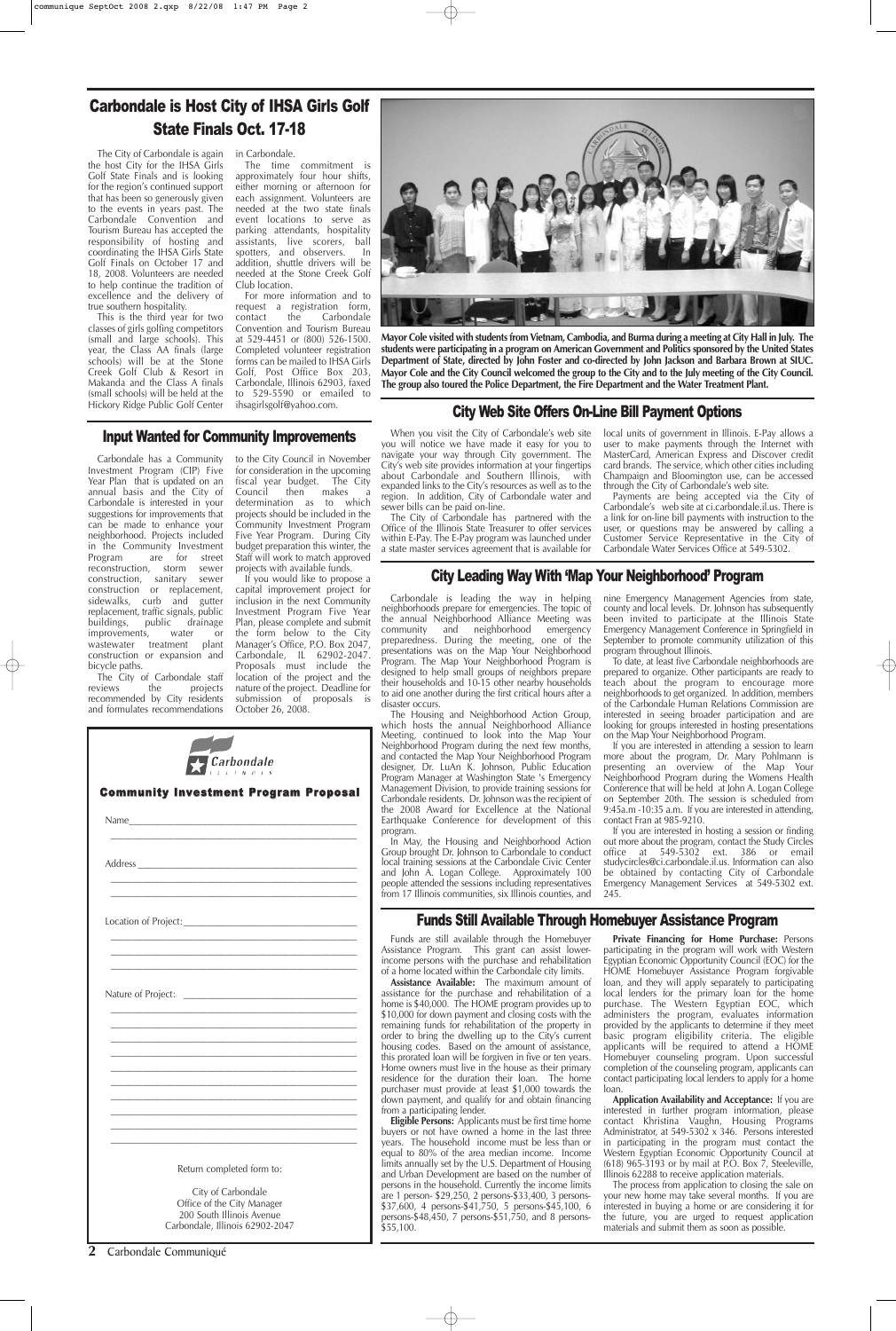**2** Carbondale Communiqué



**Mayor Cole visited with students from Vietnam, Cambodia, and Burma during a meeting at City Hall in July. The students were participating in a program on American Government and Politics sponsored by the United States Department of State, directed by John Foster and co-directed by John Jackson and Barbara Brown at SIUC. Mayor Cole and the City Council welcomed the group to the City and to the July meeting of the City Council. The group also toured the Police Department, the Fire Department and the Water Treatment Plant.** 

### Funds Still Available Through Homebuyer Assistance Program

Funds are still available through the Homebuyer Assistance Program. This grant can assist lowerincome persons with the purchase and rehabilitation of a home located within the Carbondale city limits. **Assistance Available:** The maximum amount of assistance for the purchase and rehabilitation of a home is \$40,000. The HOME program provides up to \$10,000 for down payment and closing costs with the remaining funds for rehabilitation of the property in order to bring the dwelling up to the City's current housing codes. Based on the amount of assistance, this prorated loan will be forgiven in five or ten years. Home owners must live in the house as their primary residence for the duration their loan. The home purchaser must provide at least \$1,000 towards the down payment, and qualify for and obtain financing from a participating lender.

**Eligible Persons:** Applicants must be first time home buyers or not have owned a home in the last three years. The household income must be less than or equal to 80% of the area median income. Income limits annually set by the U.S. Department of Housing and Urban Development are based on the number of persons in the household. Currently the income limits are 1 person- \$29,250, 2 persons-\$33,400, 3 persons- \$37,600, 4 persons-\$41,750, 5 persons-\$45,100, 6 persons-\$48,450, 7 persons-\$51,750, and 8 persons- \$55,100.

**Private Financing for Home Purchase:** Persons participating in the program will work with Western Egyptian Economic Opportunity Council (EOC) for the HOME Homebuyer Assistance Program forgivable loan, and they will apply separately to participating local lenders for the primary loan for the home purchase. The Western Egyptian EOC, which administers the program, evaluates information provided by the applicants to determine if they meet basic program eligibility criteria. The eligible applicants will be required to attend a HOME Homebuyer counseling program. Upon successful completion of the counseling program, applicants can contact participating local lenders to apply for a home loan.

**Application Availability and Acceptance:** If you are interested in further program information, please contact Khristina Vaughn, Housing Programs Administrator, at 549-5302 x 346. Persons interested in participating in the program must contact the Western Egyptian Economic Opportunity Council at  $(618)$  965-3193 or by mail at P.O. Box 7, Steeleville, Illinois 62288 to receive application materials.

The process from application to closing the sale on your new home may take several months. If you are interested in buying a home or are considering it for the future, you are urged to request application materials and submit them as soon as possible.

### City Leading Way With 'Map Your Neighborhood' Program

The City of Carbondale staff<br>reviews the projects projects recommended by City residents and formulates recommendations

Carbondale is leading the way in helping neighborhoods prepare for emergencies. The topic of the annual Neighborhood Alliance Meeting was community and neighborhood emergency preparedness. During the meeting, one of the presentations was on the Map Your Neighborhood Program. The Map Your Neighborhood Program is designed to help small groups of neighbors prepare their households and 10-15 other nearby households to aid one another during the first critical hours after a disaster occurs.

If you would like to propose a capital improvement project for inclusion in the next Community Investment Program Five Year Plan, please complete and submit the form below to the City Manager's Office, P.O. Box 2047, Carbondale, IL 62902-2047. Proposals must include the location of the project and the nature of the project. Deadline for submission of proposals is October 26, 2008.

The Housing and Neighborhood Action Group, which hosts the annual Neighborhood Alliance Meeting, continued to look into the Map Your Neighborhood Program during the next few months, and contacted the Map Your Neighborhood Program designer, Dr. LuAn K. Johnson, Public Education Program Manager at Washington State 's Emergency Management Division, to provide training sessions for Carbondale residents. Dr. Johnson was the recipient of the 2008 Award for Excellence at the National Earthquake Conference for development of this program.

In May, the Housing and Neighborhood Action Group brought Dr. Johnson to Carbondale to conduct local training sessions at the Carbondale Civic Center and John A. Logan College. Approximately 100 people attended the sessions including representatives from 17 Illinois communities, six Illinois counties, and

nine Emergency Management Agencies from state, county and local levels. Dr. Johnson has subsequently been invited to participate at the Illinois State Emergency Management Conference in Springfield in September to promote community utilization of this program throughout Illinois.

|                      | <b>Community Investment Program Proposal</b> |  |
|----------------------|----------------------------------------------|--|
|                      |                                              |  |
|                      |                                              |  |
| Location of Project: |                                              |  |

والملامسة والمرا

To date, at least five Carbondale neighborhoods are prepared to organize. Other participants are ready to teach about the program to encourage more neighborhoods to get organized. In addition, members of the Carbondale Human Relations Commission are interested in seeing broader participation and are looking for groups interested in hosting presentations on the Map Your Neighborhood Program.

If you are interested in attending a session to learn more about the program, Dr. Mary Pohlmann is presenting an overview of the Map Your Neighborhood Program during the Womens Health Conference that will be held at John A. Logan College on September 20th. The session is scheduled from 9:45a.m -10:35 a.m. If you are interested in attending, contact Fran at 985-9210.

If you are interested in hosting a session or finding out more about the program, contact the Study Circles office at 549-5302 ext. 386 or email studycircles@ci.carbondale.il.us. Information can also be obtained by contacting City of Carbondale Emergency Management Services at 549-5302 ext. 245.

Carbondale has a Community Investment Program (CIP) Five Year Plan that is updated on an annual basis and the City of Carbondale is interested in your suggestions for improvements that can be made to enhance your neighborhood. Projects included in the Community Investment<br>Program are for street are for street reconstruction, storm sewer<br>construction, sanitary sewer construction, sanitary construction or replacement, sidewalks, curb and gutter replacement, traffic signals, public buildings, public drainage improvements, water or wastewater treatment plant construction or expansion and bicycle paths.

to the City Council in November for consideration in the upcoming fiscal year budget. The City Council then makes determination as to which projects should be included in the Community Investment Program Five Year Program. During City budget preparation this winter, the Staff will work to match approved projects with available funds.

### Input Wanted for Community Improvements

### City Web Site Offers On-Line Bill Payment Options

When you visit the City of Carbondale's web site you will notice we have made it easy for you to navigate your way through City government. The City's web site provides information at your fingertips about Carbondale and Southern Illinois, with expanded links to the City's resources as well as to the region. In addition, City of Carbondale water and sewer bills can be paid on-line.

The City of Carbondale has partnered with the Office of the Illinois State Treasurer to offer services within E-Pay. The E-Pay program was launched under a state master services agreement that is available for

local units of government in Illinois. E-Pay allows a user to make payments through the Internet with MasterCard, American Express and Discover credit card brands. The service, which other cities including Champaign and Bloomington use, can be accessed through the City of Carbondale's web site.

Payments are being accepted via the City of Carbondale's web site at ci.carbondale.il.us. There is a link for on-line bill payments with instruction to the user, or questions may be answered by calling a Customer Service Representative in the City of Carbondale Water Services Office at 549-5302.

The City of Carbondale is again in Carbondale. the host City for the IHSA Girls Golf State Finals and is looking for the region's continued support that has been so generously given to the events in years past. The Carbondale Convention and Tourism Bureau has accepted the responsibility of hosting and coordinating the IHSA Girls State Golf Finals on October 17 and 18, 2008. Volunteers are needed to help continue the tradition of excellence and the delivery of true southern hospitality.

This is the third year for two classes of girls golfing competitors (small and large schools). This year, the Class AA finals (large schools) will be at the Stone Creek Golf Club & Resort in Makanda and the Class A finals (small schools) will be held at the Hickory Ridge Public Golf Center

The time commitment is approximately four hour shifts, either morning or afternoon for each assignment. Volunteers are needed at the two state finals event locations to serve as parking attendants, hospitality assistants, live scorers, ball spotters, and observers. In addition, shuttle drivers will be needed at the Stone Creek Golf Club location.

For more information and to request a registration form,<br>contact the Carbondale Carbondale Convention and Tourism Bureau at 529-4451 or (800) 526-1500. Completed volunteer registration forms can be mailed to IHSA Girls Golf, Post Office Box 203, Carbondale, Illinois 62903, faxed to 529-5590 or emailed to ihsagirlsgolf@yahoo.com.

### Carbondale is Host City of IHSA Girls Golf State Finals Oct. 17-18

| Nature of Project: |                                                                                            |                    | <u> 1980 - Jan Barbarat, manala</u> |  |
|--------------------|--------------------------------------------------------------------------------------------|--------------------|-------------------------------------|--|
|                    |                                                                                            |                    |                                     |  |
|                    |                                                                                            |                    |                                     |  |
|                    |                                                                                            |                    |                                     |  |
|                    |                                                                                            |                    |                                     |  |
|                    |                                                                                            |                    |                                     |  |
|                    |                                                                                            |                    |                                     |  |
|                    |                                                                                            |                    |                                     |  |
|                    |                                                                                            |                    |                                     |  |
|                    |                                                                                            |                    |                                     |  |
|                    |                                                                                            |                    |                                     |  |
|                    |                                                                                            |                    |                                     |  |
|                    |                                                                                            |                    |                                     |  |
|                    | Return completed form to:                                                                  |                    |                                     |  |
|                    | Office of the City Manager<br>200 South Illinois Avenue<br>Carbondale, Illinois 62902-2047 | City of Carbondale |                                     |  |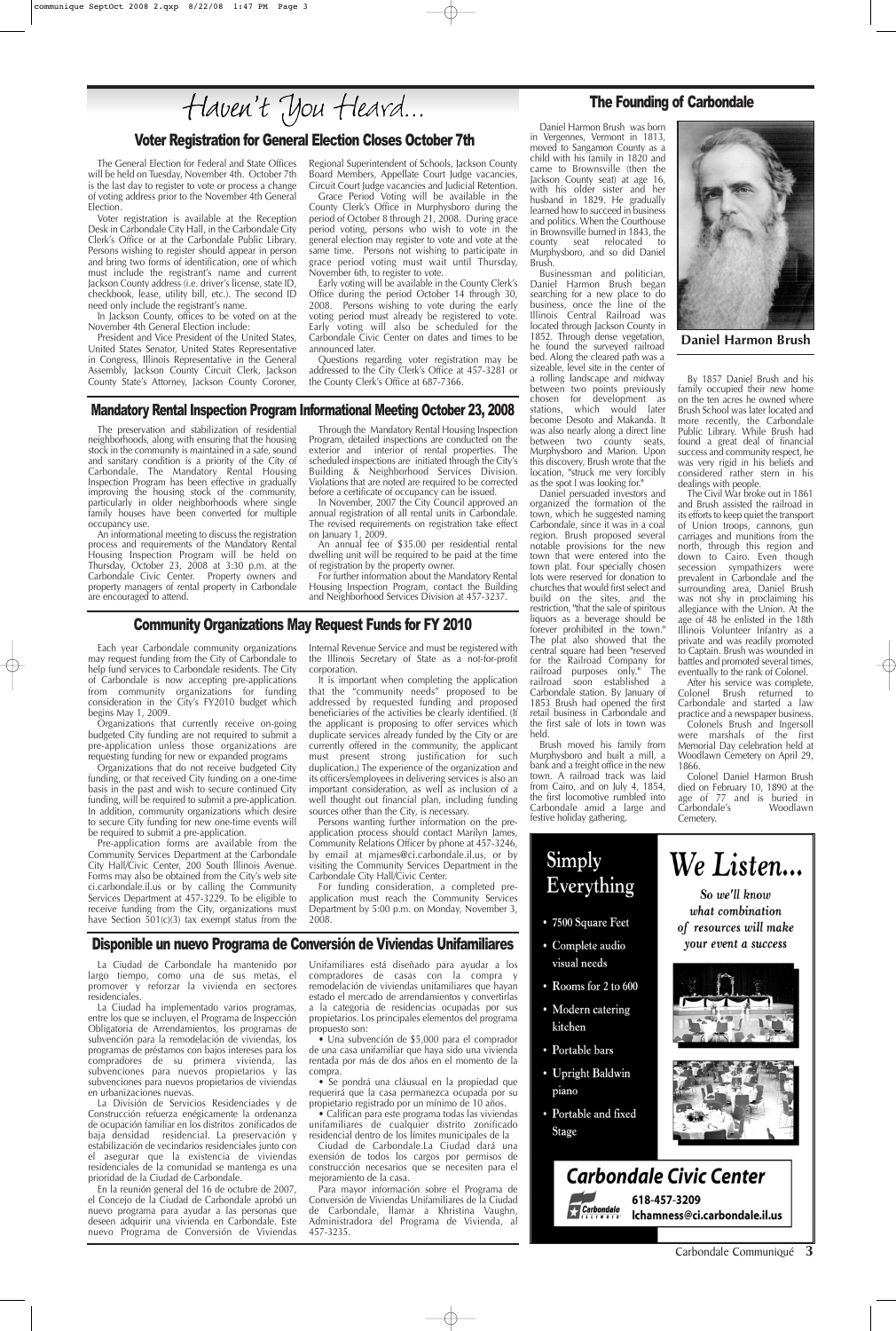Daniel Harmon Brush was born in Vergennes, Vermont in 1813, moved to Sangamon County as a child with his family in 1820 and came to Brownsville (then the Jackson County seat) at age 16, with his older sister and her husband in 1829. He gradually learned how to succeed in business and politics. When the Courthouse in Brownsville burned in 1843, the county seat relocated to Murphysboro, and so did Daniel Brush.

Businessman and politician, Daniel Harmon Brush began searching for a new place to do business, once the line of the Illinois Central Railroad was located through Jackson County in 1852. Through dense vegetation, he found the surveyed railroad bed. Along the cleared path was a sizeable, level site in the center of a rolling landscape and midway between two points previously chosen for development as stations, which would later become Desoto and Makanda. It was also nearly along a direct line between two county seats, Murphysboro and Marion. Upon this discovery, Brush wrote that the location, "struck me very forcibly as the spot I was looking for."

Daniel persuaded investors and organized the formation of the town, which he suggested naming Carbondale, since it was in a coal region. Brush proposed several notable provisions for the new town that were entered into the town plat. Four specially chosen lots were reserved for donation to churches that would first select and build on the sites, and the restriction, "that the sale of spiritous liquors as a beverage should be forever prohibited in the town." The plat also showed that the central square had been "reserved for the Railroad Company for railroad purposes only." The railroad soon established a Carbondale station. By January of 1853 Brush had opened the first retail business in Carbondale and the first sale of lots in town was held.

Brush moved his family from Murphysboro and built a mill, a bank and a freight office in the new town. A railroad track was laid from Cairo, and on July 4, 1854, the first locomotive rumbled into Carbondale amid a large and festive holiday gathering.



By 1857 Daniel Brush and his family occupied their new home on the ten acres he owned where Brush School was later located and more recently, the Carbondale Public Library. While Brush had found a great deal of financial success and community respect, he was very rigid in his beliefs and considered rather stern in his dealings with people.

The Civil War broke out in 1861 and Brush assisted the railroad in its efforts to keep quiet the transport of Union troops, cannons, gun carriages and munitions from the north, through this region and down to Cairo. Even though secession sympathizers were prevalent in Carbondale and the surrounding area, Daniel Brush was not shy in proclaiming his allegiance with the Union. At the age of 48 he enlisted in the 18th Illinois Volunteer Infantry as a private and was readily promoted to Captain. Brush was wounded in battles and promoted several times, eventually to the rank of Colonel.

After his service was complete, Colonel Brush returned to Carbondale and started a law practice and a newspaper business.

Colonels Brush and Ingersoll were marshals of the first Memorial Day celebration held at Woodlawn Cemetery on April 29, 1866.

Colonel Daniel Harmon Brush died on February 10, 1890 at the age of 77 and is buried in Carbondale's Woodlawn Cemetery.

### Mandatory Rental Inspection Program Informational Meeting October 23, 2008

The preservation and stabilization of residential neighborhoods, along with ensuring that the housing stock in the community is maintained in a safe, sound and sanitary condition is a priority of the City of Carbondale. The Mandatory Rental Housing Inspection Program has been effective in gradually improving the housing stock of the community, particularly in older neighborhoods where single family houses have been converted for multiple occupancy use.

An informational meeting to discuss the registration process and requirements of the Mandatory Rental Housing Inspection Program will be held on Thursday, October 23, 2008 at 3:30 p.m. at the Carbondale Civic Center. Property owners and property managers of rental property in Carbondale are encouraged to attend.

Through the Mandatory Rental Housing Inspection Program, detailed inspections are conducted on the exterior and interior of rental properties. The scheduled inspections are initiated through the City's Building & Neighborhood Services Division. Violations that are noted are required to be corrected before a certificate of occupancy can be issued.

In November, 2007 the City Council approved an annual registration of all rental units in Carbondale. The revised requirements on registration take effect on January 1, 2009.

An annual fee of \$35.00 per residential rental dwelling unit will be required to be paid at the time of registration by the property owner.

For further information about the Mandatory Rental Housing Inspection Program, contact the Building and Neighborhood Services Division at 457-3237.

### Voter Registration for General Election Closes October 7th

Pre-application forms are available from the Community Services Department at the Carbondale City Hall/Civic Center, 200 South Illinois Avenue. Forms may also be obtained from the City's web site ci.carbondale.il.us or by calling the Community Services Department at 457-3229. To be eligible to receive funding from the City, organizations must have Section  $501(c)(3)$  tax exempt status from the

The General Election for Federal and State Offices will be held on Tuesday, November 4th. October 7th is the last day to register to vote or process a change of voting address prior to the November 4th General Election.

Voter registration is available at the Reception Desk in Carbondale City Hall, in the Carbondale City Clerk's Office or at the Carbondale Public Library. Persons wishing to register should appear in person and bring two forms of identification, one of which must include the registrant's name and current Jackson County address (i.e. driver's license, state ID, checkbook, lease, utility bill, etc.). The second ID need only include the registrant's name.

In Jackson County, offices to be voted on at the November 4th General Election include:

President and Vice President of the United States, United States Senator, United States Representative in Congress, Illinois Representative in the General Assembly, Jackson County Circuit Clerk, Jackson County State's Attorney, Jackson County Coroner, Regional Superintendent of Schools, Jackson County Board Members, Appellate Court Judge vacancies, Circuit Court Judge vacancies and Judicial Retention.

Grace Period Voting will be available in the County Clerk's Office in Murphysboro during the period of October 8 through 21, 2008. During grace period voting, persons who wish to vote in the general election may register to vote and vote at the same time. Persons not wishing to participate in grace period voting must wait until Thursday, November 6th, to register to vote.

Early voting will be available in the County Clerk's Office during the period October 14 through 30, 2008. Persons wishing to vote during the early voting period must already be registered to vote. Early voting will also be scheduled for the Carbondale Civic Center on dates and times to be announced later.

Questions regarding voter registration may be addressed to the City Clerk's Office at 457-3281 or the County Clerk's Office at 687-7366.

### The Founding of Carbondale

Carbondale Communiqué **3**

### Disponible un nuevo Programa de Conversión de Viviendas Unifamiliares

La Ciudad de Carbondale ha mantenido por largo tiempo, como una de sus metas, el promover y reforzar la vivienda en sectores residenciales.

La Ciudad ha implementado varios programas, entre los que se incluyen, el Programa de Inspección Obligatoria de Arrendamientos, los programas de subvención para la remodelación de viviendas, los programas de préstamos con bajos intereses para los compradores de su primera vivienda, las subvenciones para nuevos propietarios y las subvenciones para nuevos propietarios de viviendas en urbanizaciones nuevas.

La División de Servicios Residenciades y de Construcción refuerza enégicamente la ordenanza de ocupación familiar en los distritos zonificados de baja densidad residencial. La preservación y estabilización de vecindarios residenciales junto con el asegurar que la existencia de viviendas residenciales de la comunidad se mantenga es una prioridad de la Ciudad de Carbondale.

En la reunión general del 16 de octubre de 2007, el Concejo de la Ciudad de Carbondale aprobó un nuevo programa para ayudar a las personas que deseen adquirir una vivienda en Carbondale. Este nuevo Programa de Conversión de Viviendas

Unifamiliares está diseñado para ayudar a los compradores de casas con la compra y remodelación de viviendas unifamiliares que hayan estado el mercado de arrendamientos y convertirlas a la categoria de residencias ocupadas por sus propietarios. Los principales elementos del programa propuesto son:

• Una subvención de \$5,000 para el comprador de una casa unifamiliar que haya sido una vivienda rentada por más de dos años en el momento de la compra.

• Se pondrá una cláusual en la propiedad que requerirá que la casa permanezca ocupada por su propietario registrado por un mínimo de 10 años.

• Califican para este programa todas las viviendas unifamiliares de cualquier distrito zonificado residencial dentro de los límites municipales de la

Ciudad de Carbondale.La Ciudad dará una exensión de todos los cargos por permisos de construcción necesarios que se necesiten para el mejoramiento de la casa.

Para mayor información sobre el Programa de Conversión de Viviendas Unifamiliares de la Ciudad de Carbondale, llamar a Khristina Vaughn, Administradora del Programa de Vivienda, al 457-3235.

- Complete audio visual needs
- Rooms for 2 to 600
- Modern catering kitchen
- Portable bars
- **Upright Baldwin** piano
- Portable and fixed **Stage**











618-457-3209 Ichamness@ci.carbondale.il.us

#### Community Organizations May Request Funds for FY 2010

Each year Carbondale community organizations may request funding from the City of Carbondale to help fund services to Carbondale residents. The City of Carbondale is now accepting pre-applications from community organizations for funding consideration in the City's FY2010 budget which begins May 1, 2009.

Organizations that currently receive on-going budgeted City funding are not required to submit a pre-application unless those organizations are requesting funding for new or expanded programs

Organizations that do not receive budgeted City funding, or that received City funding on a one-time basis in the past and wish to secure continued City funding, will be required to submit a pre-application. In addition, community organizations which desire to secure City funding for new one-time events will be required to submit a pre-application.

Internal Revenue Service and must be registered with the Illinois Secretary of State as a not-for-profit corporation.

It is important when completing the application that the "community needs" proposed to be addressed by requested funding and proposed beneficiaries of the activities be clearly identified. (If the applicant is proposing to offer services which duplicate services already funded by the City or are currently offered in the community, the applicant must present strong justification for such duplication.) The experience of the organization and its officers/employees in delivering services is also an important consideration, as well as inclusion of a well thought out financial plan, including funding sources other than the City, is necessary.

Persons wanting further information on the preapplication process should contact Marilyn James, Community Relations Officer by phone at 457-3246, by email at mjames@ci.carbondale.il.us, or by visiting the Community Services Department in the Carbondale City Hall/Civic Center.

For funding consideration, a completed preapplication must reach the Community Services Department by 5:00 p.m. on Monday, November 3, 2008.



**Daniel Harmon Brush**

Haven't You Heard...